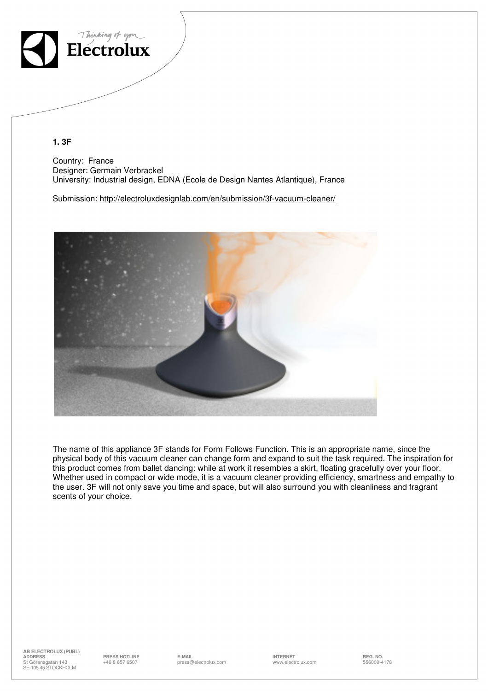

**1. 3F** 

Country: France Designer: Germain Verbrackel University: Industrial design, EDNA (Ecole de Design Nantes Atlantique), France

Submission: http://electroluxdesignlab.com/en/submission/3f-vacuum-cleaner/



The name of this appliance 3F stands for Form Follows Function. This is an appropriate name, since the physical body of this vacuum cleaner can change form and expand to suit the task required. The inspiration for this product comes from ballet dancing: while at work it resembles a skirt, floating gracefully over your floor. Whether used in compact or wide mode, it is a vacuum cleaner providing efficiency, smartness and empathy to the user. 3F will not only save you time and space, but will also surround you with cleanliness and fragrant scents of your choice.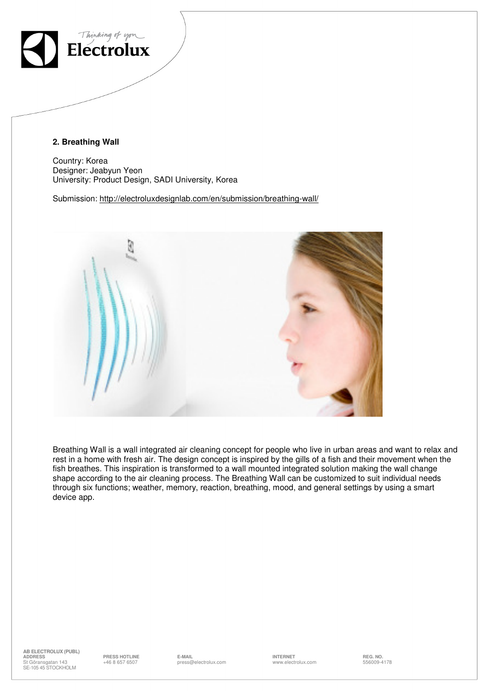

### **2. Breathing Wall**

Country: Korea Designer: Jeabyun Yeon University: Product Design, SADI University, Korea

Submission: http://electroluxdesignlab.com/en/submission/breathing-wall/



Breathing Wall is a wall integrated air cleaning concept for people who live in urban areas and want to relax and rest in a home with fresh air. The design concept is inspired by the gills of a fish and their movement when the fish breathes. This inspiration is transformed to a wall mounted integrated solution making the wall change shape according to the air cleaning process. The Breathing Wall can be customized to suit individual needs through six functions; weather, memory, reaction, breathing, mood, and general settings by using a smart device app.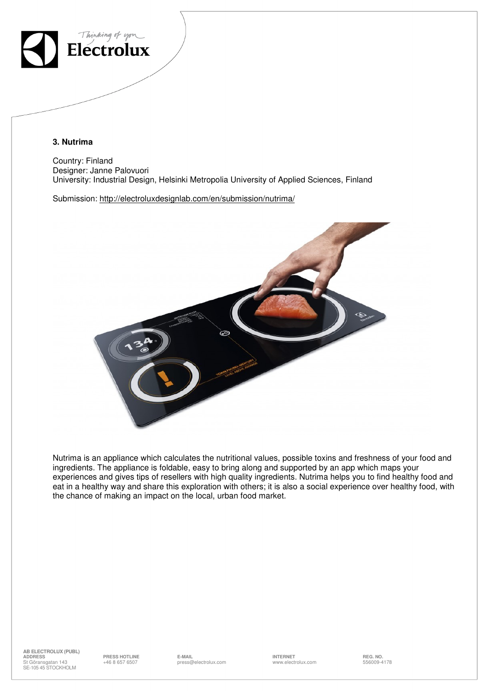

### **3. Nutrima**

Country: Finland Designer: Janne Palovuori University: Industrial Design, Helsinki Metropolia University of Applied Sciences, Finland

Submission: http://electroluxdesignlab.com/en/submission/nutrima/



Nutrima is an appliance which calculates the nutritional values, possible toxins and freshness of your food and ingredients. The appliance is foldable, easy to bring along and supported by an app which maps your experiences and gives tips of resellers with high quality ingredients. Nutrima helps you to find healthy food and eat in a healthy way and share this exploration with others; it is also a social experience over healthy food, with the chance of making an impact on the local, urban food market.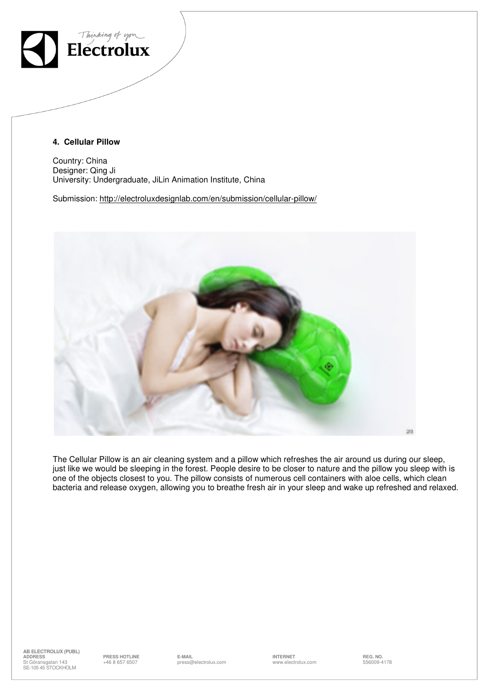

### **4. Cellular Pillow**

Country: China Designer: Qing Ji University: Undergraduate, JiLin Animation Institute, China

Submission: http://electroluxdesignlab.com/en/submission/cellular-pillow/



The Cellular Pillow is an air cleaning system and a pillow which refreshes the air around us during our sleep, just like we would be sleeping in the forest. People desire to be closer to nature and the pillow you sleep with is one of the objects closest to you. The pillow consists of numerous cell containers with aloe cells, which clean bacteria and release oxygen, allowing you to breathe fresh air in your sleep and wake up refreshed and relaxed.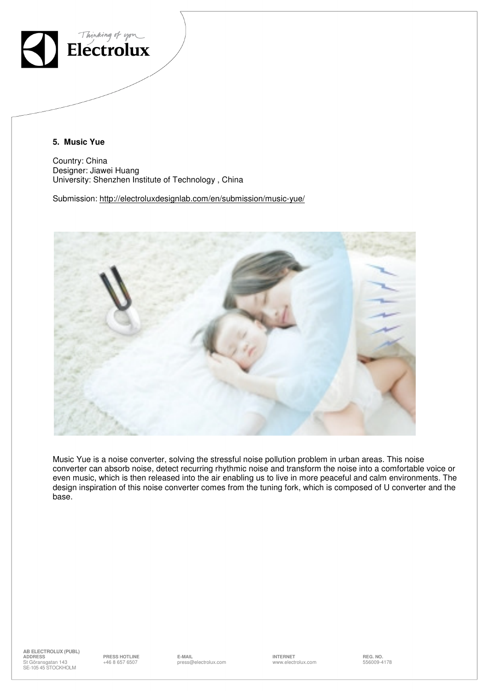

**5. Music Yue** 

Country: China Designer: Jiawei Huang University: Shenzhen Institute of Technology , China

Submission: http://electroluxdesignlab.com/en/submission/music-yue/



Music Yue is a noise converter, solving the stressful noise pollution problem in urban areas. This noise converter can absorb noise, detect recurring rhythmic noise and transform the noise into a comfortable voice or even music, which is then released into the air enabling us to live in more peaceful and calm environments. The design inspiration of this noise converter comes from the tuning fork, which is composed of U converter and the base.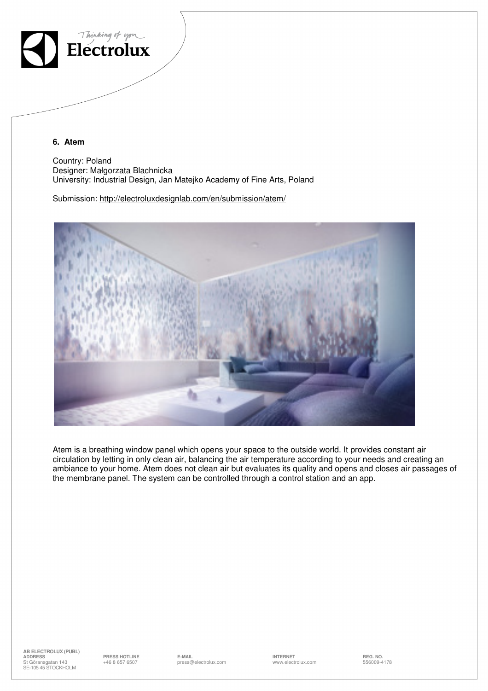

**6. Atem** 

Country: Poland Designer: Małgorzata Blachnicka University: Industrial Design, Jan Matejko Academy of Fine Arts, Poland

Submission: http://electroluxdesignlab.com/en/submission/atem/



Atem is a breathing window panel which opens your space to the outside world. It provides constant air circulation by letting in only clean air, balancing the air temperature according to your needs and creating an ambiance to your home. Atem does not clean air but evaluates its quality and opens and closes air passages of the membrane panel. The system can be controlled through a control station and an app.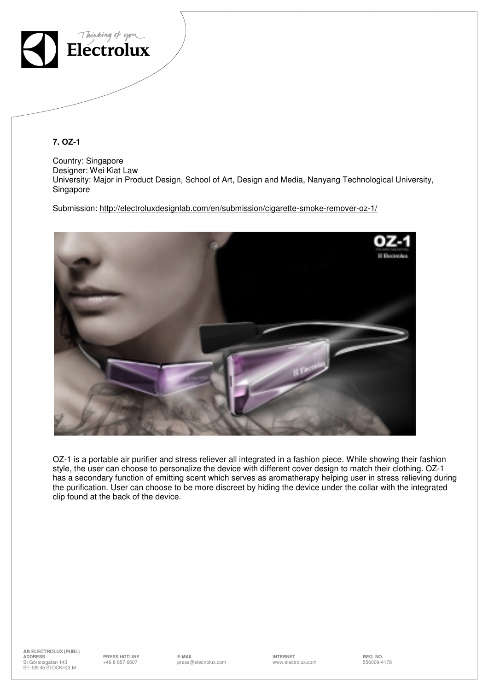

**7. OZ-1** 

Country: Singapore Designer: Wei Kiat Law University: Major in Product Design, School of Art, Design and Media, Nanyang Technological University, Singapore

Submission: http://electroluxdesignlab.com/en/submission/cigarette-smoke-remover-oz-1/



OZ-1 is a portable air purifier and stress reliever all integrated in a fashion piece. While showing their fashion style, the user can choose to personalize the device with different cover design to match their clothing. OZ-1 has a secondary function of emitting scent which serves as aromatherapy helping user in stress relieving during the purification. User can choose to be more discreet by hiding the device under the collar with the integrated clip found at the back of the device.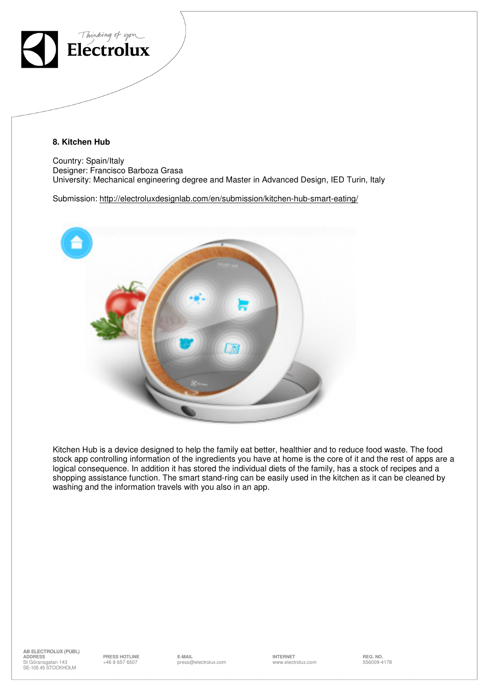

## **8. Kitchen Hub**

Country: Spain/Italy Designer: Francisco Barboza Grasa University: Mechanical engineering degree and Master in Advanced Design, IED Turin, Italy

Submission: http://electroluxdesignlab.com/en/submission/kitchen-hub-smart-eating/



Kitchen Hub is a device designed to help the family eat better, healthier and to reduce food waste. The food stock app controlling information of the ingredients you have at home is the core of it and the rest of apps are a logical consequence. In addition it has stored the individual diets of the family, has a stock of recipes and a shopping assistance function. The smart stand-ring can be easily used in the kitchen as it can be cleaned by washing and the information travels with you also in an app.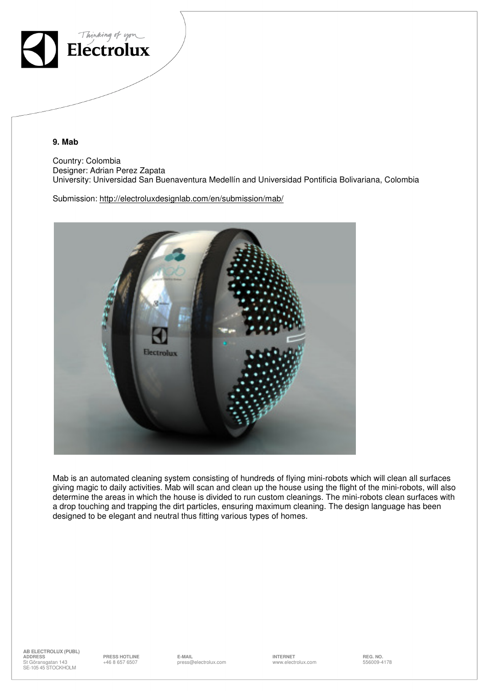

**9. Mab** 

Country: Colombia Designer: Adrian Perez Zapata University: Universidad San Buenaventura Medellín and Universidad Pontificia Bolivariana, Colombia

Submission: http://electroluxdesignlab.com/en/submission/mab/



Mab is an automated cleaning system consisting of hundreds of flying mini-robots which will clean all surfaces giving magic to daily activities. Mab will scan and clean up the house using the flight of the mini-robots, will also determine the areas in which the house is divided to run custom cleanings. The mini-robots clean surfaces with a drop touching and trapping the dirt particles, ensuring maximum cleaning. The design language has been designed to be elegant and neutral thus fitting various types of homes.

**AB ELECTROLUX (PUBL)**<br> **ADDRESS**<br>
St Göransgafan 143<br>
+46 8 657 6507 **ADDRESS PRESS HOTLINE E-MAIL INTERNET REG. NO.** +46 8 657 6507 press@electrolux.com www.electrolux.com 556009-4178 ADDRESS<br>St Göransgatan 143 SE-105 45 STOCKHOLM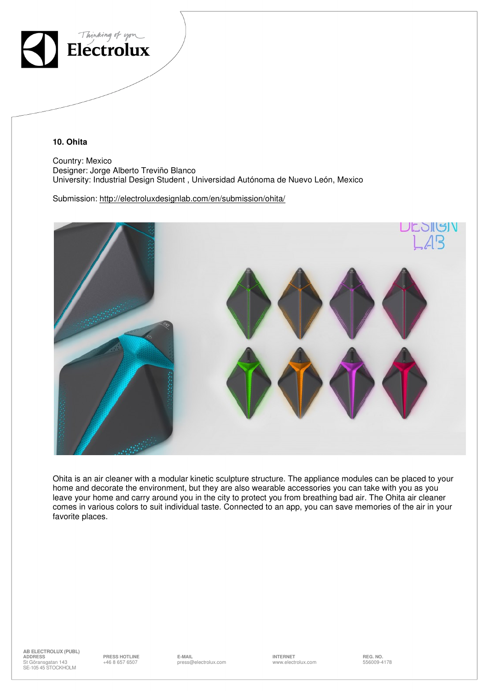

**10. Ohita** 

Country: Mexico Designer: Jorge Alberto Treviño Blanco University: Industrial Design Student , Universidad Autónoma de Nuevo León, Mexico

Submission: http://electroluxdesignlab.com/en/submission/ohita/



Ohita is an air cleaner with a modular kinetic sculpture structure. The appliance modules can be placed to your home and decorate the environment, but they are also wearable accessories you can take with you as you leave your home and carry around you in the city to protect you from breathing bad air. The Ohita air cleaner comes in various colors to suit individual taste. Connected to an app, you can save memories of the air in your favorite places.

**AB ELECTROLUX (PUBL)**<br> **ADDRESS**<br>
St Göransgafan 143<br>
+46 8 657 6507 **ADDRESS PRESS HOTLINE E-MAIL INTERNET REG. NO.** +46 8 657 6507 press@electrolux.com www.electrolux.com 556009-4178 ADDRESS<br>St Göransgatan 143 SE-105 45 STOCKHOLM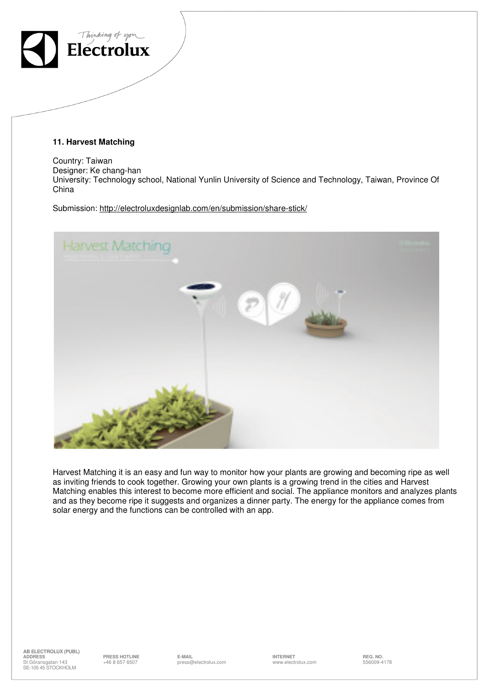

**11. Harvest Matching** 

Country: Taiwan Designer: Ke chang-han University: Technology school, National Yunlin University of Science and Technology, Taiwan, Province Of China

Submission: http://electroluxdesignlab.com/en/submission/share-stick/



Harvest Matching it is an easy and fun way to monitor how your plants are growing and becoming ripe as well as inviting friends to cook together. Growing your own plants is a growing trend in the cities and Harvest Matching enables this interest to become more efficient and social. The appliance monitors and analyzes plants and as they become ripe it suggests and organizes a dinner party. The energy for the appliance comes from solar energy and the functions can be controlled with an app.

**AB ELECTROLUX (PUBL) ADDRESS PRESS HOTLINE E-MAIL INTERNET REG. NO.** St Göransgatan 143 SE-105 45 STOCKHOLM

erial term of the Mail E-Mail end and the Monday of the Section of the Section of the Section of the Section o<br>A 1986-1987 press@electrolux.com www.electrolux.com 556009-4178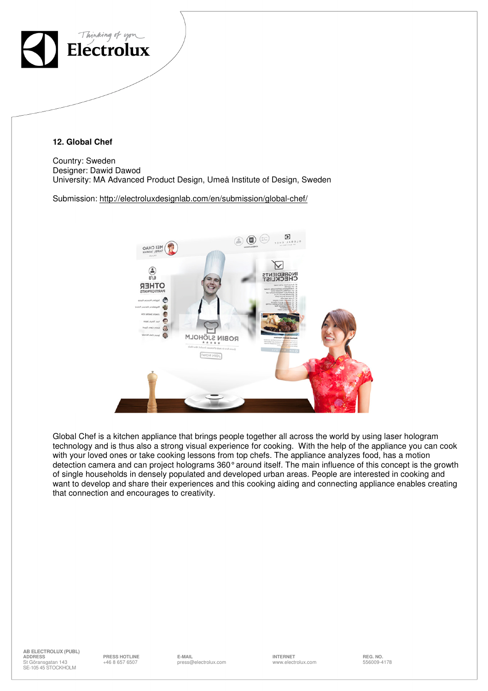

**12. Global Chef** 

Country: Sweden Designer: Dawid Dawod University: MA Advanced Product Design, Umeå Institute of Design, Sweden

Submission: http://electroluxdesignlab.com/en/submission/global-chef/



Global Chef is a kitchen appliance that brings people together all across the world by using laser hologram technology and is thus also a strong visual experience for cooking. With the help of the appliance you can cook with your loved ones or take cooking lessons from top chefs. The appliance analyzes food, has a motion detection camera and can project holograms 360° around itself. The main influence of this concept is the growth of single households in densely populated and developed urban areas. People are interested in cooking and want to develop and share their experiences and this cooking aiding and connecting appliance enables creating that connection and encourages to creativity.

 $-$  -------

**PRESS HOTLINE REG. NO.**<br>446 8 657 6507 **PREG. NO.** DYSES DREGGED AND THE REG. NO. **INTERNET INTERNET ESSOOS-4178**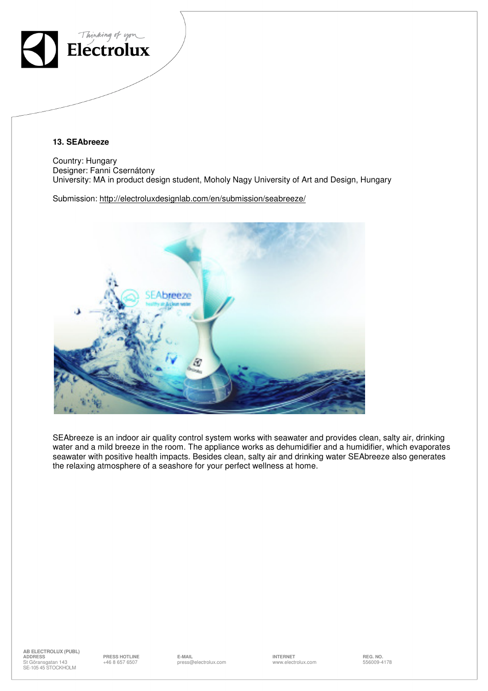

## **13. SEAbreeze**

Country: Hungary Designer: Fanni Csernátony University: MA in product design student, Moholy Nagy University of Art and Design, Hungary

Submission: http://electroluxdesignlab.com/en/submission/seabreeze/



SEAbreeze is an indoor air quality control system works with seawater and provides clean, salty air, drinking water and a mild breeze in the room. The appliance works as dehumidifier and a humidifier, which evaporates seawater with positive health impacts. Besides clean, salty air and drinking water SEAbreeze also generates the relaxing atmosphere of a seashore for your perfect wellness at home.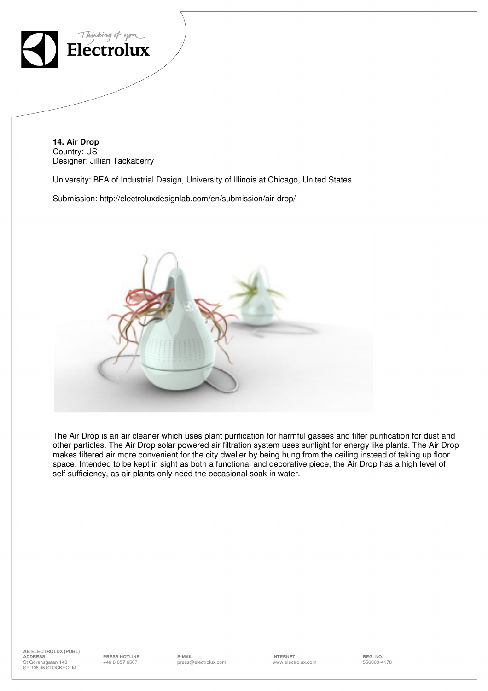

**14. Air Drop**  Country: US Designer: Jillian Tackaberry

University: BFA of Industrial Design, University of Illinois at Chicago, United States

Submission: http://electroluxdesignlab.com/en/submission/air-drop/



The Air Drop is an air cleaner which uses plant purification for harmful gasses and filter purification for dust and other particles. The Air Drop solar powered air filtration system uses sunlight for energy like plants. The Air Drop makes filtered air more convenient for the city dweller by being hung from the ceiling instead of taking up floor space. Intended to be kept in sight as both a functional and decorative piece, the Air Drop has a high level of self sufficiency, as air plants only need the occasional soak in water.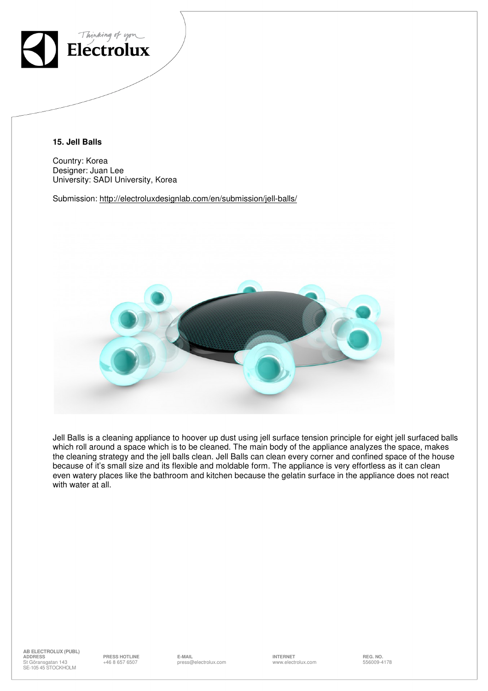

**15. Jell Balls** 

Country: Korea Designer: Juan Lee University: SADI University, Korea

Submission: http://electroluxdesignlab.com/en/submission/jell-balls/



Jell Balls is a cleaning appliance to hoover up dust using jell surface tension principle for eight jell surfaced balls which roll around a space which is to be cleaned. The main body of the appliance analyzes the space, makes the cleaning strategy and the jell balls clean. Jell Balls can clean every corner and confined space of the house because of it's small size and its flexible and moldable form. The appliance is very effortless as it can clean even watery places like the bathroom and kitchen because the gelatin surface in the appliance does not react with water at all.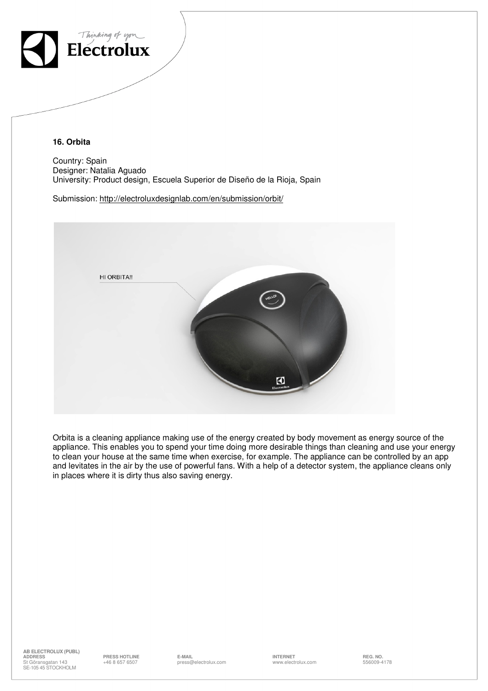

**16. Orbita** 

Country: Spain Designer: Natalia Aguado University: Product design, Escuela Superior de Diseño de la Rioja, Spain

Submission: http://electroluxdesignlab.com/en/submission/orbit/



Orbita is a cleaning appliance making use of the energy created by body movement as energy source of the appliance. This enables you to spend your time doing more desirable things than cleaning and use your energy to clean your house at the same time when exercise, for example. The appliance can be controlled by an app and levitates in the air by the use of powerful fans. With a help of a detector system, the appliance cleans only in places where it is dirty thus also saving energy.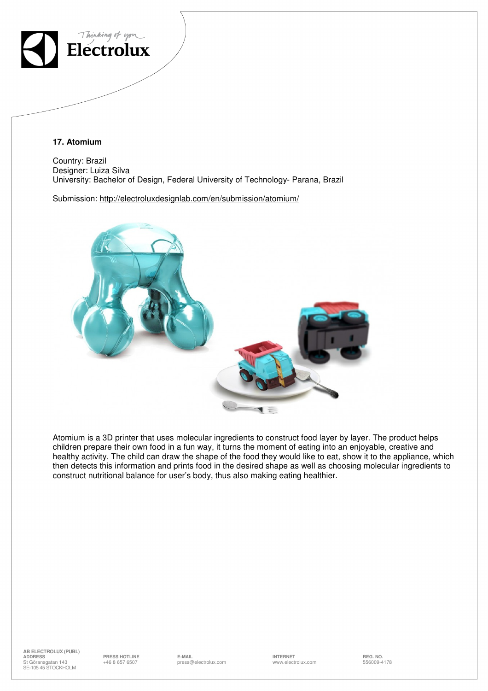

**17. Atomium** 

Country: Brazil Designer: Luiza Silva University: Bachelor of Design, Federal University of Technology- Parana, Brazil

Submission: http://electroluxdesignlab.com/en/submission/atomium/



Atomium is a 3D printer that uses molecular ingredients to construct food layer by layer. The product helps children prepare their own food in a fun way, it turns the moment of eating into an enjoyable, creative and healthy activity. The child can draw the shape of the food they would like to eat, show it to the appliance, which then detects this information and prints food in the desired shape as well as choosing molecular ingredients to construct nutritional balance for user's body, thus also making eating healthier.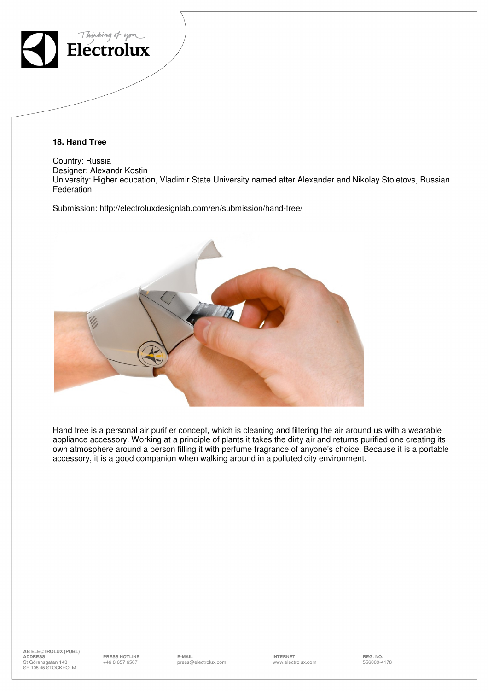

**18. Hand Tree** 

Country: Russia Designer: Alexandr Kostin University: Higher education, Vladimir State University named after Alexander and Nikolay Stoletovs, Russian Federation

Submission: http://electroluxdesignlab.com/en/submission/hand-tree/



Hand tree is a personal air purifier concept, which is cleaning and filtering the air around us with a wearable appliance accessory. Working at a principle of plants it takes the dirty air and returns purified one creating its own atmosphere around a person filling it with perfume fragrance of anyone's choice. Because it is a portable accessory, it is a good companion when walking around in a polluted city environment.

 $\text{E-MAIL}$  example of the set of the set of the set of the set of the set of the set of the set of the set of the set of the set of the set of the set of the set of the set of the set of the set of the set of the set of th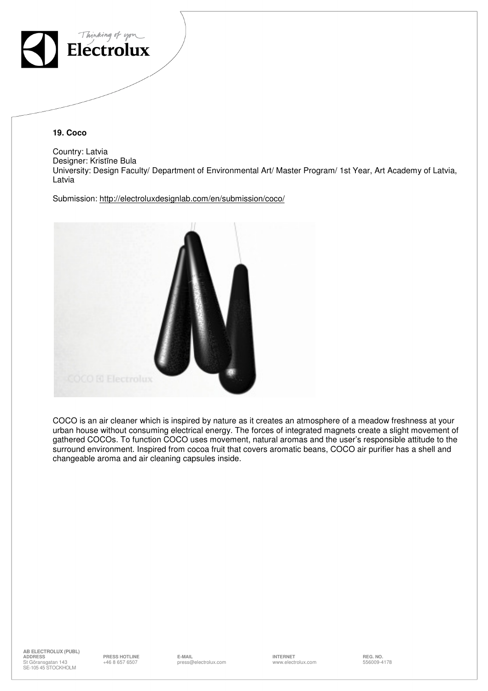

**19. Coco** 

Country: Latvia Designer: Kristīne Bula University: Design Faculty/ Department of Environmental Art/ Master Program/ 1st Year, Art Academy of Latvia, Latvia

Submission: http://electroluxdesignlab.com/en/submission/coco/



COCO is an air cleaner which is inspired by nature as it creates an atmosphere of a meadow freshness at your urban house without consuming electrical energy. The forces of integrated magnets create a slight movement of gathered COCOs. To function COCO uses movement, natural aromas and the user's responsible attitude to the surround environment. Inspired from cocoa fruit that covers aromatic beans, COCO air purifier has a shell and changeable aroma and air cleaning capsules inside.